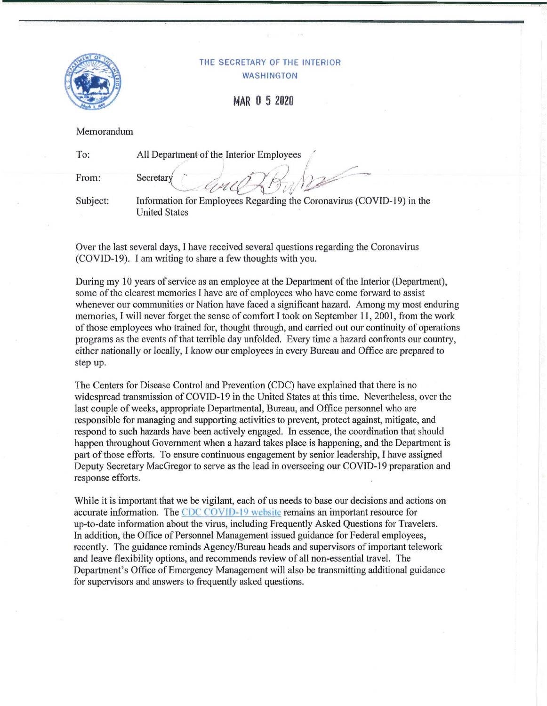

## THE SECRETARY OF THE INTERIOR WASHINGTON

**MAR O 5 2020** 

Memorandum

| To:      | All Department of the Interior Employees                                                      |
|----------|-----------------------------------------------------------------------------------------------|
| From:    | Secretary                                                                                     |
| Subject: | Information for Employees Regarding the Coronavirus (COVID-19) in the<br><b>United States</b> |

Over the last several days, I have received several questions regarding the Coronavirus (COVID-19). I am writing to share a few thoughts with you.

During my 10 years of service as an employee at the Department of the Interior (Department), some of the clearest memories I have are of employees who have come forward to assist whenever our communities or Nation have faced a significant hazard. Among my most enduring memories, I will never forget the sense of comfort I took on September 11, 2001, from the work of those employees who trained for, thought through, and carried out our continuity of operations programs as the events of that terrible day unfolded. Every time a hazard confronts our country, either nationally or locally, I know our employees in every Bureau and Office are prepared to step up.

The Centers for Disease Control and Prevention (CDC) have explained that there is no widespread transmission of COVID-19 in the United States at this time. Nevertheless, over the last couple of weeks, appropriate Departmental, Bureau, and Office personnel who are responsible for managing and supporting activities to prevent, protect against, mitigate, and respond to such hazards have been actively engaged. In essence, the coordination that should happen throughout Govermnent when a hazard takes place is happening, and the Department is patt of those efforts. To ensure continuous engagement by senior leadership, I have assigned Deputy Secretary MacGregor to serve as the lead in overseeing our COVID-19 preparation and response efforts.

While it is important that we be vigilant, each of us needs to base our decisions and actions on accurate information. The CDC COVID-19 website remains an important resource for up-to-date information about the virus, including Frequently Asked Questions for Travelers. In addition, the Office of Personnel Management issued guidance for Federal employees, recently. The guidance reminds Agency/Bureau heads and supervisors ofimportant telework and leave flexibility options, and recommends review of all non-essential travel. The Department's Office of Emergency Management will also be transmitting additional guidance for supervisors and answers to frequently asked questions.